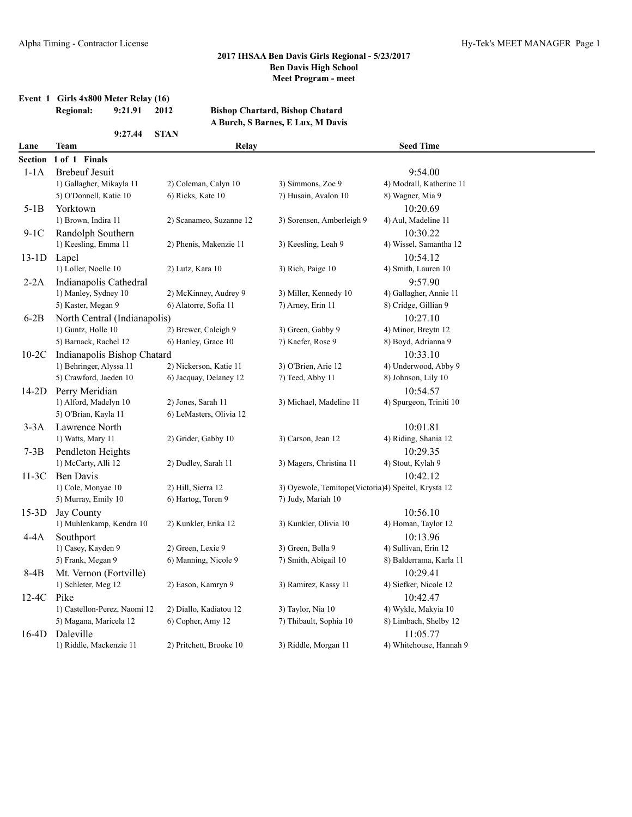# **Event 1 Girls 4x800 Meter Relay (16)**

**9:27.44 STAN**

#### **Regional: 9:21.91 2012 Bishop Chartard, Bishop Chatard A Burch, S Barnes, E Lux, M Davis**

| Lane<br><b>Team</b> |                              | Relay                   |                                                     | <b>Seed Time</b>         |  |  |
|---------------------|------------------------------|-------------------------|-----------------------------------------------------|--------------------------|--|--|
| Section             | 1 of 1 Finals                |                         |                                                     |                          |  |  |
| $1-1A$              | <b>Brebeuf Jesuit</b>        |                         |                                                     | 9:54.00                  |  |  |
|                     | 1) Gallagher, Mikayla 11     | 2) Coleman, Calyn 10    | 3) Simmons, Zoe 9                                   | 4) Modrall, Katherine 11 |  |  |
|                     | 5) O'Donnell, Katie 10       | 6) Ricks, Kate 10       | 7) Husain, Avalon 10                                | 8) Wagner, Mia 9         |  |  |
| $5-1B$              | Yorktown                     |                         |                                                     | 10:20.69                 |  |  |
|                     | 1) Brown, Indira 11          | 2) Scanameo, Suzanne 12 | 3) Sorensen, Amberleigh 9                           | 4) Aul, Madeline 11      |  |  |
| 9-1C                | Randolph Southern            |                         |                                                     | 10:30.22                 |  |  |
|                     | 1) Keesling, Emma 11         | 2) Phenis, Makenzie 11  | 3) Keesling, Leah 9                                 | 4) Wissel, Samantha 12   |  |  |
| $13-1D$             | Lapel                        |                         |                                                     | 10:54.12                 |  |  |
|                     | 1) Loller, Noelle 10         | 2) Lutz, Kara 10        | 3) Rich, Paige 10                                   | 4) Smith, Lauren 10      |  |  |
| 2-2A                | Indianapolis Cathedral       |                         |                                                     | 9:57.90                  |  |  |
|                     | 1) Manley, Sydney 10         | 2) McKinney, Audrey 9   | 3) Miller, Kennedy 10                               | 4) Gallagher, Annie 11   |  |  |
|                     | 5) Kaster, Megan 9           | 6) Alatorre, Sofia 11   | 7) Arney, Erin 11                                   | 8) Cridge, Gillian 9     |  |  |
| $6-2B$              | North Central (Indianapolis) |                         |                                                     | 10:27.10                 |  |  |
|                     | 1) Guntz, Holle 10           | 2) Brewer, Caleigh 9    | 3) Green, Gabby 9                                   | 4) Minor, Breytn 12      |  |  |
|                     | 5) Barnack, Rachel 12        | 6) Hanley, Grace 10     | 7) Kaefer, Rose 9                                   | 8) Boyd, Adrianna 9      |  |  |
| $10-2C$             | Indianapolis Bishop Chatard  |                         |                                                     | 10:33.10                 |  |  |
|                     | 1) Behringer, Alyssa 11      | 2) Nickerson, Katie 11  | 3) O'Brien, Arie 12                                 | 4) Underwood, Abby 9     |  |  |
|                     | 5) Crawford, Jaeden 10       | 6) Jacquay, Delaney 12  | 7) Teed, Abby 11                                    | 8) Johnson, Lily 10      |  |  |
| $14-2D$             | Perry Meridian               |                         |                                                     | 10:54.57                 |  |  |
|                     | 1) Alford, Madelyn 10        | 2) Jones, Sarah 11      | 3) Michael, Madeline 11                             | 4) Spurgeon, Triniti 10  |  |  |
|                     | 5) O'Brian, Kayla 11         | 6) LeMasters, Olivia 12 |                                                     |                          |  |  |
| $3-3A$              | Lawrence North               |                         |                                                     | 10:01.81                 |  |  |
|                     | 1) Watts, Mary 11            | 2) Grider, Gabby 10     | 3) Carson, Jean 12                                  | 4) Riding, Shania 12     |  |  |
| $7-3B$              | Pendleton Heights            |                         |                                                     | 10:29.35                 |  |  |
|                     | 1) McCarty, Alli 12          | 2) Dudley, Sarah 11     | 3) Magers, Christina 11                             | 4) Stout, Kylah 9        |  |  |
| 11-3C               | Ben Davis                    |                         |                                                     | 10:42.12                 |  |  |
|                     | 1) Cole, Monyae 10           | 2) Hill, Sierra 12      | 3) Oyewole, Temitope(Victoria)4) Speitel, Krysta 12 |                          |  |  |
|                     | 5) Murray, Emily 10          | 6) Hartog, Toren 9      | 7) Judy, Mariah 10                                  |                          |  |  |
| $15-3D$             | Jay County                   |                         |                                                     | 10:56.10                 |  |  |
|                     | 1) Muhlenkamp, Kendra 10     | 2) Kunkler, Erika 12    | 3) Kunkler, Olivia 10                               | 4) Homan, Taylor 12      |  |  |
| $4-4A$              | Southport                    |                         |                                                     | 10:13.96                 |  |  |
|                     | 1) Casey, Kayden 9           | 2) Green, Lexie 9       | 3) Green, Bella 9                                   | 4) Sullivan, Erin 12     |  |  |
|                     | 5) Frank, Megan 9            | 6) Manning, Nicole 9    | 7) Smith, Abigail 10                                | 8) Balderrama, Karla 11  |  |  |
| 8-4B                | Mt. Vernon (Fortville)       |                         |                                                     | 10:29.41                 |  |  |
|                     | 1) Schleter, Meg 12          | 2) Eason, Kamryn 9      | 3) Ramirez, Kassy 11                                | 4) Siefker, Nicole 12    |  |  |
| 12-4C               | Pike                         |                         |                                                     | 10:42.47                 |  |  |
|                     | 1) Castellon-Perez, Naomi 12 | 2) Diallo, Kadiatou 12  | 3) Taylor, Nia 10                                   | 4) Wykle, Makyia 10      |  |  |
|                     | 5) Magana, Maricela 12       | 6) Copher, Amy 12       | 7) Thibault, Sophia 10                              | 8) Limbach, Shelby 12    |  |  |
| $16-4D$             | Daleville                    |                         |                                                     | 11:05.77                 |  |  |
|                     | 1) Riddle, Mackenzie 11      | 2) Pritchett, Brooke 10 | 3) Riddle, Morgan 11                                | 4) Whitehouse, Hannah 9  |  |  |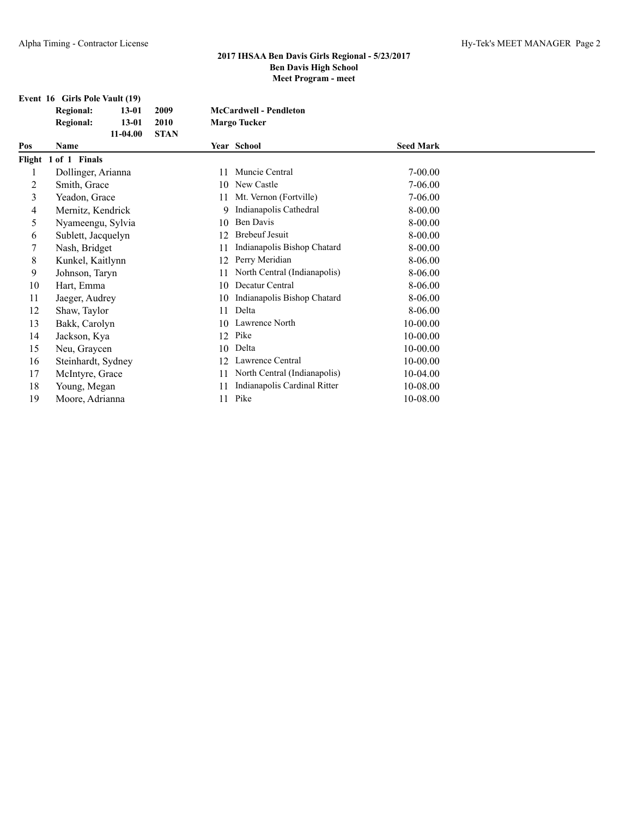|     | Event 16 Girls Pole Vault (19) |             |    |                               |                  |  |
|-----|--------------------------------|-------------|----|-------------------------------|------------------|--|
|     | <b>Regional:</b><br>$13 - 01$  | 2009        |    | <b>McCardwell - Pendleton</b> |                  |  |
|     | <b>Regional:</b><br>$13 - 01$  | 2010        |    | <b>Margo Tucker</b>           |                  |  |
|     | $11-04.00$                     | <b>STAN</b> |    |                               |                  |  |
| Pos | Name                           |             |    | Year School                   | <b>Seed Mark</b> |  |
|     | Flight 1 of 1 Finals           |             |    |                               |                  |  |
|     | Dollinger, Arianna             |             | 11 | Muncie Central                | 7-00.00          |  |
| 2   | Smith, Grace                   |             | 10 | New Castle                    | 7-06.00          |  |
| 3   | Yeadon, Grace                  |             | 11 | Mt. Vernon (Fortville)        | 7-06.00          |  |
| 4   | Mernitz, Kendrick              |             | 9  | Indianapolis Cathedral        | 8-00.00          |  |
| 5   | Nyameengu, Sylvia              |             | 10 | Ben Davis                     | 8-00.00          |  |
| 6   | Sublett, Jacquelyn             |             | 12 | <b>Brebeuf Jesuit</b>         | 8-00.00          |  |
| 7   | Nash, Bridget                  |             | 11 | Indianapolis Bishop Chatard   | 8-00.00          |  |
| 8   | Kunkel, Kaitlynn               |             | 12 | Perry Meridian                | 8-06.00          |  |
| 9   | Johnson, Taryn                 |             | 11 | North Central (Indianapolis)  | 8-06.00          |  |
| 10  | Hart, Emma                     |             | 10 | Decatur Central               | 8-06.00          |  |
| 11  | Jaeger, Audrey                 |             | 10 | Indianapolis Bishop Chatard   | 8-06.00          |  |
| 12  | Shaw, Taylor                   |             | 11 | Delta                         | 8-06.00          |  |
| 13  | Bakk, Carolyn                  |             | 10 | Lawrence North                | 10-00.00         |  |
| 14  | Jackson, Kya                   |             | 12 | Pike                          | 10-00.00         |  |
| 15  | Neu, Graycen                   |             | 10 | Delta                         | $10 - 00.00$     |  |
| 16  | Steinhardt, Sydney             |             | 12 | Lawrence Central              | 10-00.00         |  |
| 17  | McIntyre, Grace                |             | 11 | North Central (Indianapolis)  | 10-04.00         |  |
| 18  | Young, Megan                   |             |    | Indianapolis Cardinal Ritter  | 10-08.00         |  |
| 19  | Moore, Adrianna                |             | 11 | Pike                          | 10-08.00         |  |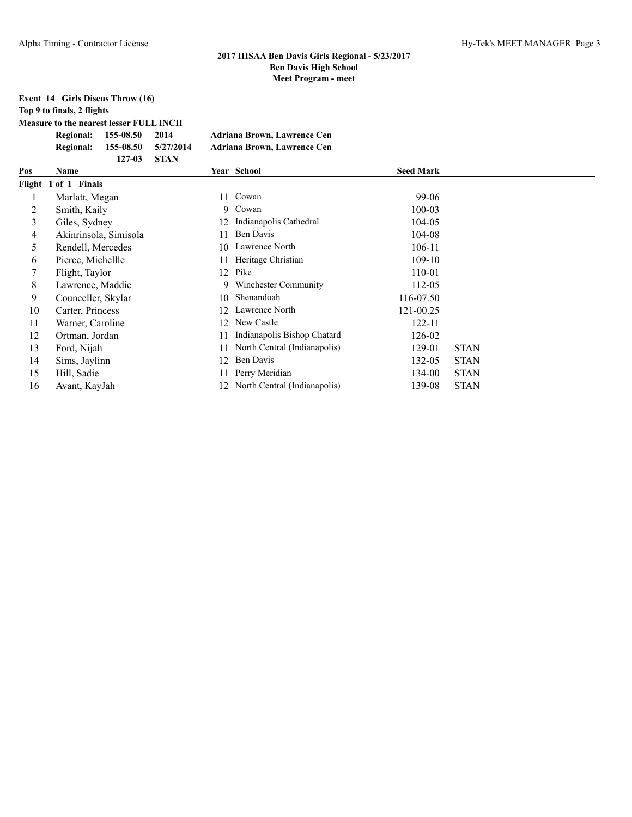# **Event 14 Girls Discus Throw (16)**

**Top 9 to finals, 2 flights**

**Measure to the nearest lesser FULL INCH**

|                  | Regional: 155-08.50     | 2014 | Adriana Brown, Lawrence Cen        |
|------------------|-------------------------|------|------------------------------------|
| <b>Regional:</b> | $155-08.50$ $5/27/2014$ |      | <b>Adriana Brown, Lawrence Cen</b> |
|                  | 127-03 STAN             |      |                                    |

| Pos | Name                  |    | Year School                     | <b>Seed Mark</b> |             |  |
|-----|-----------------------|----|---------------------------------|------------------|-------------|--|
|     | Flight 1 of 1 Finals  |    |                                 |                  |             |  |
|     | Marlatt, Megan        | 11 | Cowan                           | 99-06            |             |  |
| 2   | Smith, Kaily          | 9. | Cowan                           | 100-03           |             |  |
| 3   | Giles, Sydney         | 12 | Indianapolis Cathedral          | 104-05           |             |  |
| 4   | Akinrinsola, Simisola | 11 | Ben Davis                       | 104-08           |             |  |
| 5   | Rendell, Mercedes     | 10 | Lawrence North                  | 106-11           |             |  |
| 6   | Pierce, Michellle     | 11 | Heritage Christian              | 109-10           |             |  |
|     | Flight, Taylor        | 12 | Pike                            | 110-01           |             |  |
| 8   | Lawrence, Maddie      | 9  | Winchester Community            | 112-05           |             |  |
| 9   | Counceller, Skylar    | 10 | Shenandoah                      | 116-07.50        |             |  |
| 10  | Carter, Princess      | 12 | Lawrence North                  | 121-00.25        |             |  |
| 11  | Warner, Caroline      | 12 | New Castle                      | 122-11           |             |  |
| 12  | Ortman, Jordan        | 11 | Indianapolis Bishop Chatard     | 126-02           |             |  |
| 13  | Ford, Nijah           | 11 | North Central (Indianapolis)    | 129-01           | <b>STAN</b> |  |
| 14  | Sims, Jaylinn         | 12 | Ben Davis                       | 132-05           | <b>STAN</b> |  |
| 15  | Hill, Sadie           | 11 | Perry Meridian                  | 134-00           | <b>STAN</b> |  |
| 16  | Avant, KayJah         |    | 12 North Central (Indianapolis) | 139-08           | <b>STAN</b> |  |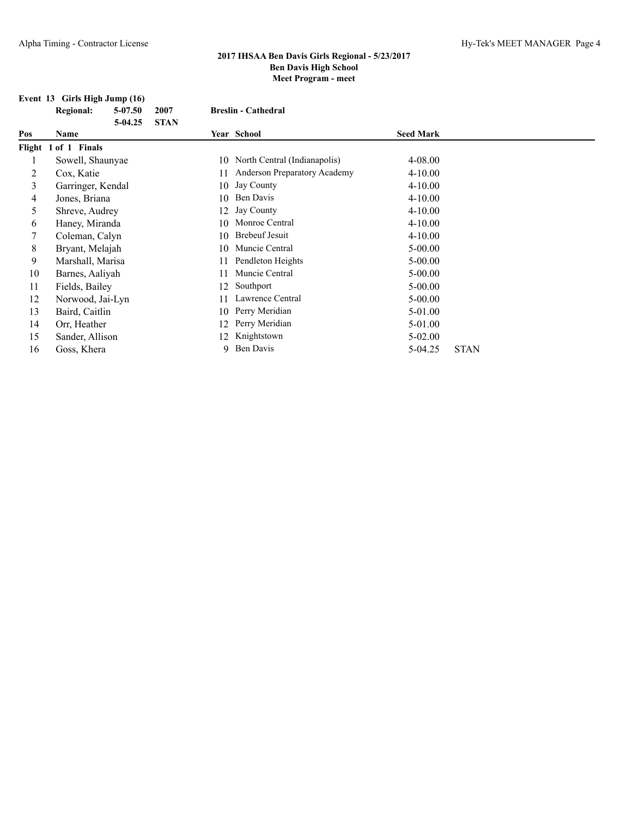#### **Event 13 Girls High Jump (16)**

**Regional: 5-07.50 2007 Breslin - Cathedral 5-04.25 STAN Pos Name Year School Seed Mark Flight 1 of 1 Finals** 1 Sowell, Shaunyae 10 North Central (Indianapolis) 4-08.00 2 Cox, Katie 11 Anderson Preparatory Academy 4-10.00 3 Garringer, Kendal 10 Jay County 4-10.00 4 Jones, Briana 10 Ben Davis 4-10.00 5 Shreve, Audrey 12 Jay County 4-10.00 6 Haney, Miranda 10 Monroe Central 4-10.00<br>
7 Coleman Calvn 10 Brebeuf Jesuit 4-10.00 7 Coleman, Calyn 10 Brebeuf Jesuit 4-10.00 8 Bryant, Melajah 10 Muncie Central 5-00.00 9 Marshall, Marisa 11 Pendleton Heights 5-00.00 10 Barnes, Aaliyah 11 Muncie Central 5-00.00 11 Fields, Bailey 12 Southport 5-00.00 12 Norwood, Jai-Lyn 11 Lawrence Central 5-00.00 13 Baird, Caitlin 10 Perry Meridian 5-01.00 14 Orr, Heather 12 Perry Meridian 5-01.00 15 Sander, Allison 12 Knightstown 5-02.00 16 Goss, Khera 9 Ben Davis 5-04.25 STAN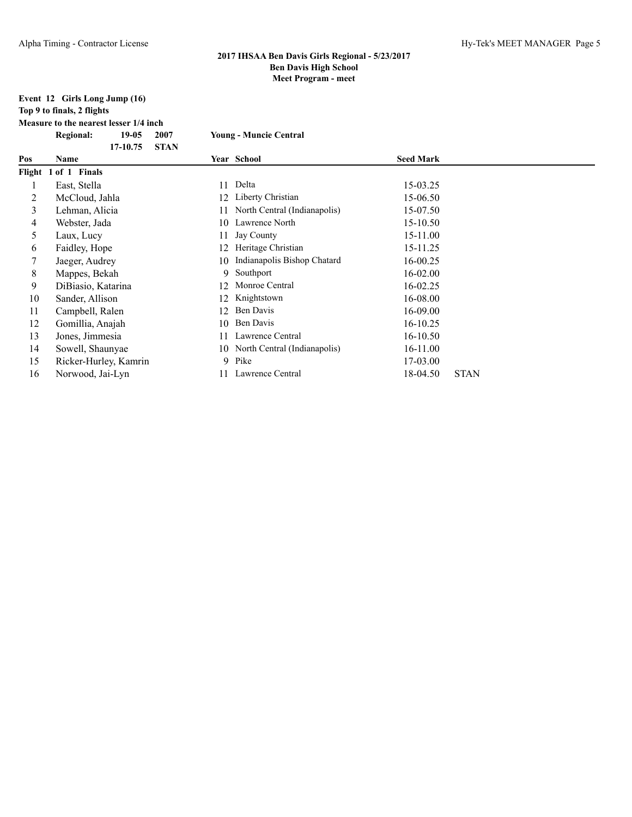#### **Event 12 Girls Long Jump (16) Top 9 to finals, 2 flights**

**Measure to the nearest lesser 1/4 inch**

|                | <b>Regional:</b><br>$19-05$<br>2007 | <b>Young - Muncie Central</b>      |                         |
|----------------|-------------------------------------|------------------------------------|-------------------------|
| Pos            | 17-10.75<br><b>STAN</b><br>Name     | Year School                        | <b>Seed Mark</b>        |
|                | Flight 1 of 1 Finals                |                                    |                         |
|                | East, Stella                        | Delta<br>11                        | 15-03.25                |
| 2              | McCloud, Jahla                      | Liberty Christian                  | 15-06.50                |
| 3              | Lehman, Alicia                      | North Central (Indianapolis)<br>11 | 15-07.50                |
| $\overline{4}$ | Webster, Jada                       | Lawrence North<br>10               | 15-10.50                |
| 5              | Laux, Lucy                          | Jay County<br>11                   | 15-11.00                |
| 6              | Faidley, Hope                       | Heritage Christian<br>12           | 15-11.25                |
|                | Jaeger, Audrey                      | Indianapolis Bishop Chatard<br>10  | 16-00.25                |
| 8              | Mappes, Bekah                       | Southport<br>9                     | 16-02.00                |
| 9              | DiBiasio, Katarina                  | Monroe Central<br>12               | 16-02.25                |
| 10             | Sander, Allison                     | Knightstown<br>12                  | 16-08.00                |
| 11             | Campbell, Ralen                     | Ben Davis<br>12                    | 16-09.00                |
| 12             | Gomillia, Anajah                    | Ben Davis<br>10                    | 16-10.25                |
| 13             | Jones, Jimmesia                     | Lawrence Central<br>11             | 16-10.50                |
| 14             | Sowell, Shaunyae                    | 10 North Central (Indianapolis)    | 16-11.00                |
| 15             | Ricker-Hurley, Kamrin               | Pike<br>9                          | 17-03.00                |
| 16             | Norwood, Jai-Lyn                    | Lawrence Central                   | 18-04.50<br><b>STAN</b> |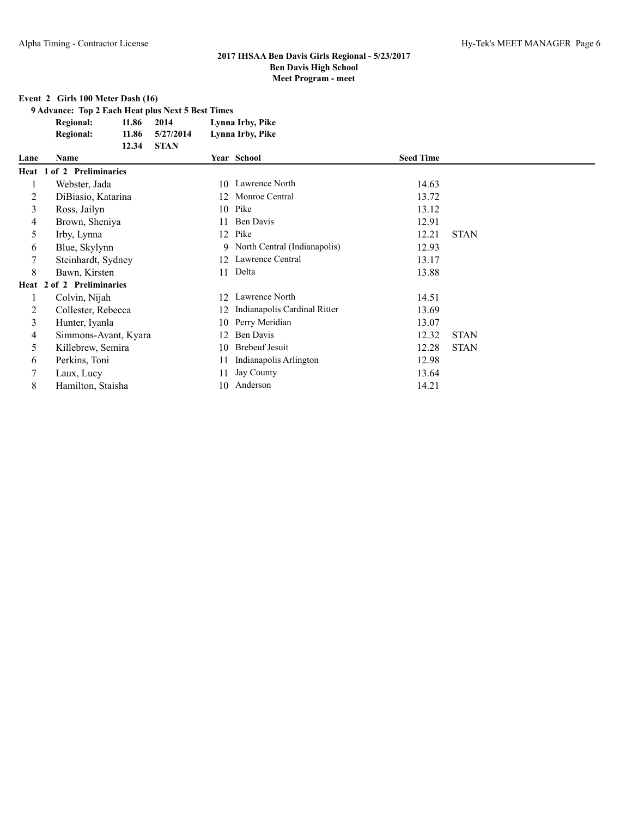# **Event 2 Girls 100 Meter Dash (16)**

**9 Advance: Top 2 Each Heat plus Next 5 Best Times**

| <b>Regional:</b> | 11.86 2014 |  | Lynna Irby, Pike |  |
|------------------|------------|--|------------------|--|
|------------------|------------|--|------------------|--|

**12.34 STAN**

**Regional: 11.86 5/27/2014 Lynna Irby, Pike**

| Lane | <b>Name</b>               |    | Year School                     | <b>Seed Time</b> |             |
|------|---------------------------|----|---------------------------------|------------------|-------------|
|      | Heat 1 of 2 Preliminaries |    |                                 |                  |             |
| 1    | Webster, Jada             | 10 | Lawrence North                  | 14.63            |             |
| 2    | DiBiasio, Katarina        | 12 | Monroe Central                  | 13.72            |             |
| 3    | Ross, Jailyn              |    | 10 Pike                         | 13.12            |             |
| 4    | Brown, Sheniya            | 11 | Ben Davis                       | 12.91            |             |
| 5    | Irby, Lynna               |    | 12 Pike                         | 12.21            | <b>STAN</b> |
| 6    | Blue, Skylynn             |    | 9 North Central (Indianapolis)  | 12.93            |             |
|      | Steinhardt, Sydney        |    | 12 Lawrence Central             | 13.17            |             |
| 8    | Bawn, Kirsten             |    | 11 Delta                        | 13.88            |             |
|      | Heat 2 of 2 Preliminaries |    |                                 |                  |             |
|      | Colvin, Nijah             |    | 12 Lawrence North               | 14.51            |             |
|      | Collester, Rebecca        |    | 12 Indianapolis Cardinal Ritter | 13.69            |             |
| 3    | Hunter, Iyanla            | 10 | Perry Meridian                  | 13.07            |             |
| 4    | Simmons-Avant, Kyara      | 12 | Ben Davis                       | 12.32            | <b>STAN</b> |
| 5.   | Killebrew, Semira         | 10 | <b>Brebeuf Jesuit</b>           | 12.28            | <b>STAN</b> |
| 6    | Perkins, Toni             | 11 | Indianapolis Arlington          | 12.98            |             |
|      | Laux, Lucy                | 11 | Jay County                      | 13.64            |             |
| 8    | Hamilton, Staisha         | 10 | Anderson                        | 14.21            |             |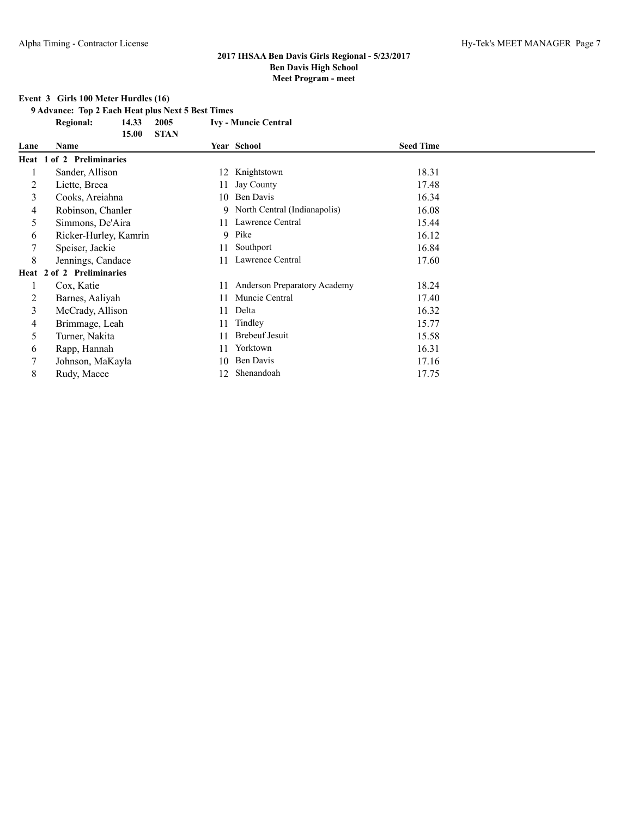## **Event 3 Girls 100 Meter Hurdles (16)**

**9 Advance: Top 2 Each Heat plus Next 5 Best Times**

**Regional: 14.33 2005 Ivy - Muncie Central**

|      | <b>STAN</b><br>15.00      |    |                                |                  |  |
|------|---------------------------|----|--------------------------------|------------------|--|
| Lane | Name                      |    | Year School                    | <b>Seed Time</b> |  |
|      | Heat 1 of 2 Preliminaries |    |                                |                  |  |
|      | Sander, Allison           |    | 12 Knightstown                 | 18.31            |  |
| 2    | Liette, Breea             | 11 | Jay County                     | 17.48            |  |
| 3    | Cooks, Areiahna           | 10 | Ben Davis                      | 16.34            |  |
| 4    | Robinson, Chanler         |    | 9 North Central (Indianapolis) | 16.08            |  |
| 5    | Simmons, De'Aira          |    | 11 Lawrence Central            | 15.44            |  |
| 6    | Ricker-Hurley, Kamrin     |    | 9 Pike                         | 16.12            |  |
|      | Speiser, Jackie           | 11 | Southport                      | 16.84            |  |
| 8    | Jennings, Candace         | 11 | Lawrence Central               | 17.60            |  |
|      | Heat 2 of 2 Preliminaries |    |                                |                  |  |
|      | Cox, Katie                | 11 | Anderson Preparatory Academy   | 18.24            |  |
| 2    | Barnes, Aaliyah           | 11 | Muncie Central                 | 17.40            |  |
| 3    | McCrady, Allison          | 11 | Delta                          | 16.32            |  |
| 4    | Brimmage, Leah            | 11 | Tindley                        | 15.77            |  |
| 5.   | Turner, Nakita            | 11 | <b>Brebeuf Jesuit</b>          | 15.58            |  |
| 6    | Rapp, Hannah              | 11 | Yorktown                       | 16.31            |  |
|      | Johnson, MaKayla          | 10 | Ben Davis                      | 17.16            |  |
| 8    | Rudy, Macee               | 12 | Shenandoah                     | 17.75            |  |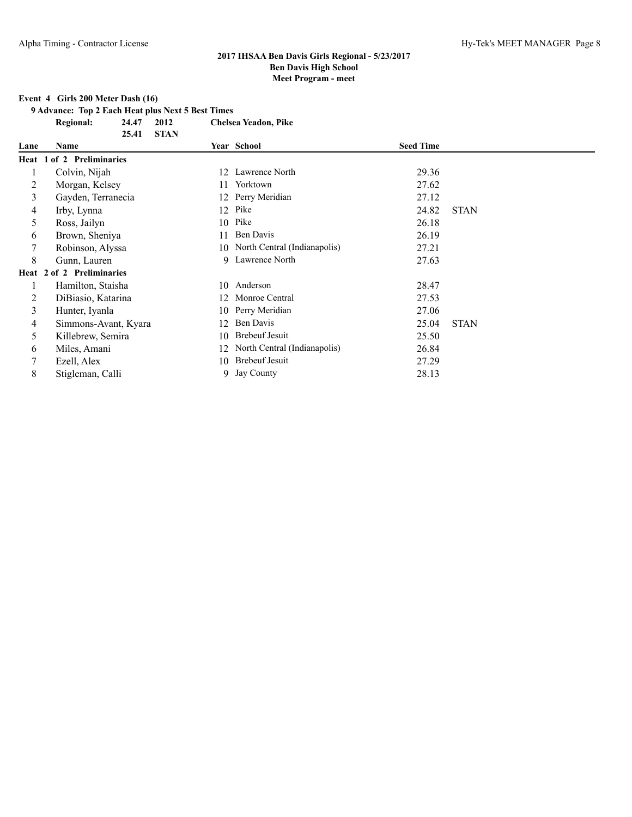# **Event 4 Girls 200 Meter Dash (16)**

**9 Advance: Top 2 Each Heat plus Next 5 Best Times**

**Regional: 24.47 2012 Chelsea Yeadon, Pike**

|      | 25.41                     | <b>STAN</b> |                              |                  |             |
|------|---------------------------|-------------|------------------------------|------------------|-------------|
| Lane | Name                      |             | Year School                  | <b>Seed Time</b> |             |
|      | Heat 1 of 2 Preliminaries |             |                              |                  |             |
|      | Colvin, Nijah             | 12          | Lawrence North               | 29.36            |             |
| 2    | Morgan, Kelsey            | 11.         | Yorktown                     | 27.62            |             |
| 3    | Gayden, Terranecia        | 12          | Perry Meridian               | 27.12            |             |
| 4    | Irby, Lynna               | 12          | Pike                         | 24.82            | <b>STAN</b> |
| 5    | Ross, Jailyn              | 10          | Pike                         | 26.18            |             |
| 6    | Brown, Sheniya            | 11          | Ben Davis                    | 26.19            |             |
|      | Robinson, Alyssa          | 10          | North Central (Indianapolis) | 27.21            |             |
| 8    | Gunn, Lauren              | 9           | Lawrence North               | 27.63            |             |
|      | Heat 2 of 2 Preliminaries |             |                              |                  |             |
|      | Hamilton, Staisha         | 10          | Anderson                     | 28.47            |             |
| 2    | DiBiasio, Katarina        | 12          | Monroe Central               | 27.53            |             |
| 3    | Hunter, Iyanla            | 10          | Perry Meridian               | 27.06            |             |
| 4    | Simmons-Avant, Kyara      | 12          | Ben Davis                    | 25.04            | <b>STAN</b> |
| 5    | Killebrew, Semira         | 10          | <b>Brebeuf Jesuit</b>        | 25.50            |             |
| 6    | Miles, Amani              | 12          | North Central (Indianapolis) | 26.84            |             |
|      | Ezell, Alex               | 10          | <b>Brebeuf Jesuit</b>        | 27.29            |             |
| 8    | Stigleman, Calli          |             | 9 Jay County                 | 28.13            |             |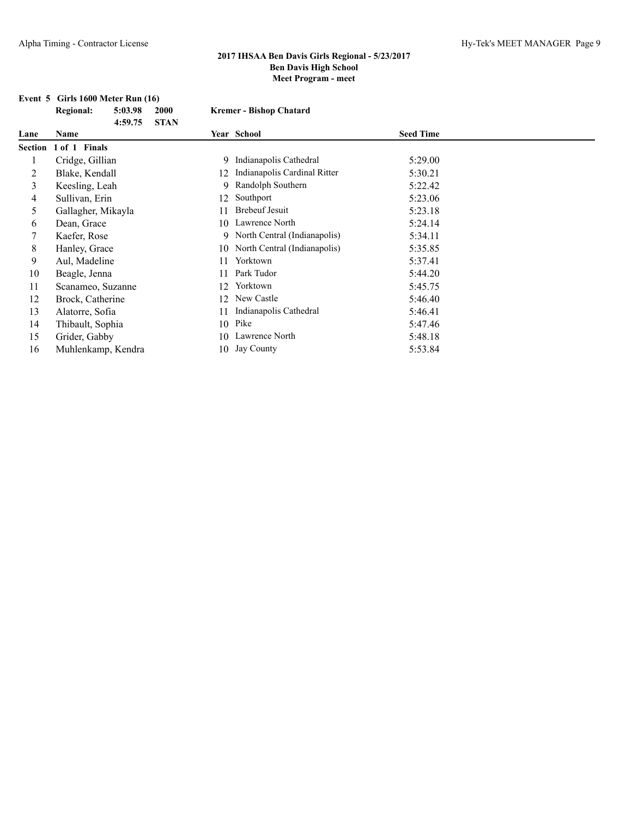# **Event 5 Girls 1600 Meter Run (16)**<br>Regional: 5:03.98 2000

|      | <b>Regional:</b>      | 5:03.98<br>4:59.75 | 2000<br><b>STAN</b> |    | <b>Kremer - Bishop Chatard</b>  |                  |  |
|------|-----------------------|--------------------|---------------------|----|---------------------------------|------------------|--|
| Lane | Name                  |                    |                     |    | Year School                     | <b>Seed Time</b> |  |
|      | Section 1 of 1 Finals |                    |                     |    |                                 |                  |  |
|      | Cridge, Gillian       |                    |                     | 9  | Indianapolis Cathedral          | 5:29.00          |  |
| 2    | Blake, Kendall        |                    |                     | 12 | Indianapolis Cardinal Ritter    | 5:30.21          |  |
| 3    | Keesling, Leah        |                    |                     | 9  | Randolph Southern               | 5:22.42          |  |
| 4    | Sullivan, Erin        |                    |                     | 12 | Southport                       | 5:23.06          |  |
| 5    | Gallagher, Mikayla    |                    |                     | 11 | <b>Brebeuf Jesuit</b>           | 5:23.18          |  |
| 6    | Dean, Grace           |                    |                     | 10 | Lawrence North                  | 5:24.14          |  |
|      | Kaefer, Rose          |                    |                     |    | 9 North Central (Indianapolis)  | 5:34.11          |  |
| 8    | Hanley, Grace         |                    |                     |    | 10 North Central (Indianapolis) | 5:35.85          |  |
| 9    | Aul, Madeline         |                    |                     | 11 | Yorktown                        | 5:37.41          |  |
| 10   | Beagle, Jenna         |                    |                     | 11 | Park Tudor                      | 5:44.20          |  |
| 11   | Scanameo, Suzanne     |                    |                     | 12 | Yorktown                        | 5:45.75          |  |
| 12   | Brock, Catherine      |                    |                     | 12 | New Castle                      | 5:46.40          |  |
| 13   | Alatorre, Sofia       |                    |                     |    | Indianapolis Cathedral          | 5:46.41          |  |
| 14   | Thibault, Sophia      |                    |                     | 10 | Pike                            | 5:47.46          |  |
| 15   | Grider, Gabby         |                    |                     | 10 | Lawrence North                  | 5:48.18          |  |
| 16   | Muhlenkamp, Kendra    |                    |                     | 10 | Jay County                      | 5:53.84          |  |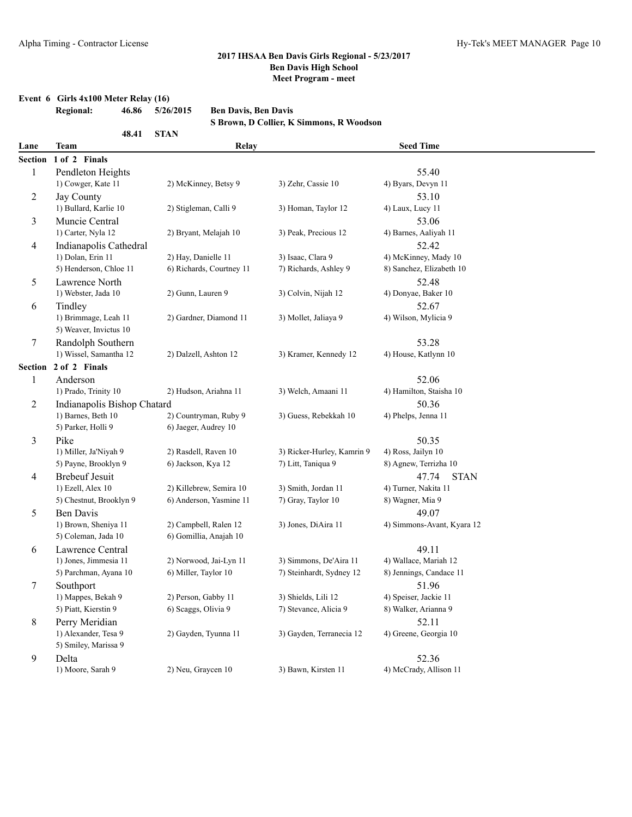#### **Event 6 Girls 4x100 Meter Relay (16)**

|         | <b>Regional:</b><br>46.86                 | 5/26/2015                | <b>Ben Davis, Ben Davis</b>              |                            |                                     |  |
|---------|-------------------------------------------|--------------------------|------------------------------------------|----------------------------|-------------------------------------|--|
|         |                                           |                          | S Brown, D Collier, K Simmons, R Woodson |                            |                                     |  |
|         | 48.41                                     | <b>STAN</b>              |                                          |                            |                                     |  |
| Lane    | <b>Team</b>                               |                          | Relay                                    |                            | <b>Seed Time</b>                    |  |
| Section | 1 of 2 Finals                             |                          |                                          |                            |                                     |  |
| 1       | Pendleton Heights                         |                          |                                          |                            | 55.40                               |  |
|         | 1) Cowger, Kate 11                        | 2) McKinney, Betsy 9     | 3) Zehr, Cassie 10                       |                            | 4) Byars, Devyn 11                  |  |
| 2       | Jay County                                |                          |                                          |                            | 53.10                               |  |
|         | 1) Bullard, Karlie 10                     | 2) Stigleman, Calli 9    | 3) Homan, Taylor 12                      |                            | 4) Laux, Lucy 11                    |  |
| 3       | Muncie Central                            |                          |                                          |                            | 53.06                               |  |
|         | 1) Carter, Nyla 12                        | 2) Bryant, Melajah 10    | 3) Peak, Precious 12                     |                            | 4) Barnes, Aaliyah 11               |  |
| 4       | Indianapolis Cathedral                    |                          |                                          |                            | 52.42                               |  |
|         | 1) Dolan, Erin 11                         | 2) Hay, Danielle 11      | 3) Isaac, Clara 9                        |                            | 4) McKinney, Mady 10                |  |
|         | 5) Henderson, Chloe 11                    | 6) Richards, Courtney 11 | 7) Richards, Ashley 9                    |                            | 8) Sanchez, Elizabeth 10            |  |
| 5       | Lawrence North                            |                          |                                          |                            | 52.48                               |  |
|         | 1) Webster, Jada 10                       | 2) Gunn, Lauren 9        | 3) Colvin, Nijah 12                      |                            | 4) Donyae, Baker 10                 |  |
| 6       | Tindley                                   |                          |                                          |                            | 52.67                               |  |
|         | 1) Brimmage, Leah 11                      | 2) Gardner, Diamond 11   | 3) Mollet, Jaliava 9                     |                            | 4) Wilson, Mylicia 9                |  |
|         | 5) Weaver, Invictus 10                    |                          |                                          |                            |                                     |  |
| 7       | Randolph Southern                         |                          |                                          |                            | 53.28                               |  |
|         | 1) Wissel, Samantha 12                    | 2) Dalzell, Ashton 12    | 3) Kramer, Kennedy 12                    |                            | 4) House, Katlynn 10                |  |
|         | Section 2 of 2 Finals                     |                          |                                          |                            |                                     |  |
| 1       | Anderson                                  |                          |                                          |                            | 52.06                               |  |
|         | 1) Prado, Trinity 10                      | 2) Hudson, Ariahna 11    | 3) Welch, Amaani 11                      |                            | 4) Hamilton, Staisha 10             |  |
| 2       | Indianapolis Bishop Chatard               |                          |                                          |                            | 50.36                               |  |
|         | 1) Barnes, Beth 10                        | 2) Countryman, Ruby 9    | 3) Guess, Rebekkah 10                    |                            | 4) Phelps, Jenna 11                 |  |
|         | 5) Parker, Holli 9                        | 6) Jaeger, Audrey 10     |                                          |                            |                                     |  |
| 3       | Pike                                      |                          |                                          |                            | 50.35                               |  |
|         | 1) Miller, Ja'Niyah 9                     | 2) Rasdell, Raven 10     |                                          | 3) Ricker-Hurley, Kamrin 9 | 4) Ross, Jailyn 10                  |  |
|         | 5) Payne, Brooklyn 9                      | 6) Jackson, Kya 12       | 7) Litt, Taniqua 9                       |                            | 8) Agnew, Terrizha 10               |  |
| 4       | <b>Brebeuf Jesuit</b>                     |                          |                                          |                            | <b>STAN</b><br>47.74                |  |
|         | 1) Ezell, Alex 10                         | 2) Killebrew, Semira 10  | 3) Smith, Jordan 11                      |                            | 4) Turner, Nakita 11                |  |
|         | 5) Chestnut, Brooklyn 9                   | 6) Anderson, Yasmine 11  | 7) Gray, Taylor 10                       |                            | 8) Wagner, Mia 9                    |  |
| 5       | Ben Davis<br>1) Brown, Sheniya 11         | 2) Campbell, Ralen 12    | 3) Jones, DiAira 11                      |                            | 49.07<br>4) Simmons-Avant, Kyara 12 |  |
|         | 5) Coleman, Jada 10                       | 6) Gomillia, Anajah 10   |                                          |                            |                                     |  |
|         |                                           |                          |                                          |                            | 49.11                               |  |
| 6       | Lawrence Central<br>1) Jones, Jimmesia 11 | 2) Norwood, Jai-Lyn 11   | 3) Simmons, De'Aira 11                   |                            | 4) Wallace, Mariah 12               |  |
|         | 5) Parchman, Ayana 10                     | 6) Miller, Taylor 10     |                                          | 7) Steinhardt, Sydney 12   | 8) Jennings, Candace 11             |  |
| 7       | Southport                                 |                          |                                          |                            | 51.96                               |  |
|         | 1) Mappes, Bekah 9                        | 2) Person, Gabby 11      | 3) Shields, Lili 12                      |                            | 4) Speiser, Jackie 11               |  |
|         | 5) Piatt, Kierstin 9                      | 6) Scaggs, Olivia 9      | 7) Stevance, Alicia 9                    |                            | 8) Walker, Arianna 9                |  |
| 8       | Perry Meridian                            |                          |                                          |                            | 52.11                               |  |
|         | 1) Alexander, Tesa 9                      | 2) Gayden, Tyunna 11     |                                          | 3) Gayden, Terranecia 12   | 4) Greene, Georgia 10               |  |
|         | 5) Smiley, Marissa 9                      |                          |                                          |                            |                                     |  |
| 9       | Delta                                     |                          |                                          |                            | 52.36                               |  |
|         | 1) Moore, Sarah 9                         | 2) Neu, Graycen 10       | 3) Bawn, Kirsten 11                      |                            | 4) McCrady, Allison 11              |  |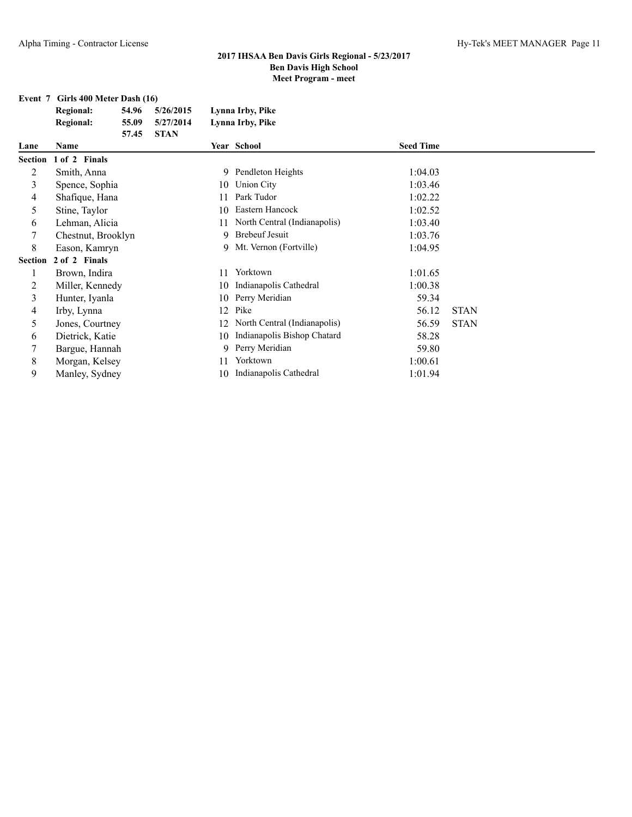## **Event 7 Girls 400 Meter Dash (16)**

| Regional: | 54.96 | 5/26/2015 | Lynna Irby, Pike |
|-----------|-------|-----------|------------------|
| Regional: | 55.09 | 5/27/2014 | Lynna Irby, Pike |
|           | 57.45 | - STAN    |                  |

| Lane           | Name               |     | Year School                  | <b>Seed Time</b> |             |  |
|----------------|--------------------|-----|------------------------------|------------------|-------------|--|
| Section        | 1 of 2 Finals      |     |                              |                  |             |  |
| 2              | Smith, Anna        |     | 9 Pendleton Heights          | 1:04.03          |             |  |
| 3              | Spence, Sophia     |     | 10 Union City                | 1:03.46          |             |  |
| 4              | Shafique, Hana     | 11  | Park Tudor                   | 1:02.22          |             |  |
| 5              | Stine, Taylor      | 10  | Eastern Hancock              | 1:02.52          |             |  |
| 6              | Lehman, Alicia     | 11  | North Central (Indianapolis) | 1:03.40          |             |  |
|                | Chestnut, Brooklyn |     | 9 Brebeuf Jesuit             | 1:03.76          |             |  |
| 8              | Eason, Kamryn      |     | 9 Mt. Vernon (Fortville)     | 1:04.95          |             |  |
| <b>Section</b> | 2 of 2 Finals      |     |                              |                  |             |  |
|                | Brown, Indira      | 11  | Yorktown                     | 1:01.65          |             |  |
| 2              | Miller, Kennedy    | 10  | Indianapolis Cathedral       | 1:00.38          |             |  |
| 3              | Hunter, Iyanla     | 10  | Perry Meridian               | 59.34            |             |  |
| 4              | Irby, Lynna        | 12  | Pike                         | 56.12            | <b>STAN</b> |  |
| 5              | Jones, Courtney    | 12. | North Central (Indianapolis) | 56.59            | <b>STAN</b> |  |
| 6              | Dietrick, Katie    | 10  | Indianapolis Bishop Chatard  | 58.28            |             |  |
|                | Bargue, Hannah     | 9   | Perry Meridian               | 59.80            |             |  |
| 8              | Morgan, Kelsey     | 11  | Yorktown                     | 1:00.61          |             |  |
| 9              | Manley, Sydney     | 10  | Indianapolis Cathedral       | 1:01.94          |             |  |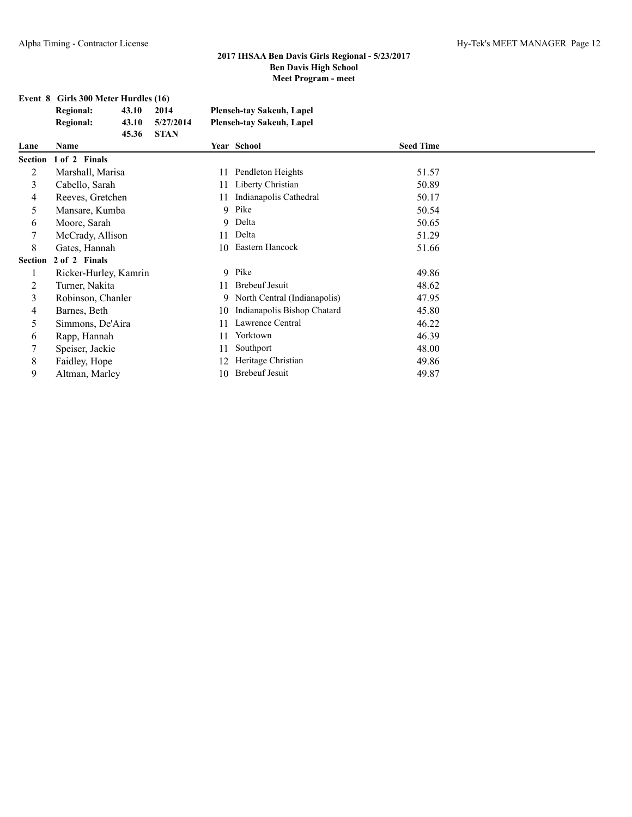#### **Event 8 Girls 300 Meter Hurdles (16)**

|                | <b>Regional:</b>          | 2014  |             | <b>Plenseh-tay Sakeuh, Lapel</b> |                                  |                  |
|----------------|---------------------------|-------|-------------|----------------------------------|----------------------------------|------------------|
|                | <b>Regional:</b><br>43.10 |       | 5/27/2014   |                                  | <b>Plenseh-tay Sakeuh, Lapel</b> |                  |
| Lane           | <b>Name</b>               | 45.36 | <b>STAN</b> |                                  | Year School                      | <b>Seed Time</b> |
| <b>Section</b> | 1 of 2 Finals             |       |             |                                  |                                  |                  |
| 2              | Marshall, Marisa          |       |             | 11                               | Pendleton Heights                | 51.57            |
| 3              | Cabello, Sarah            |       |             | 11                               | Liberty Christian                | 50.89            |
| 4              | Reeves, Gretchen          |       |             | 11                               | Indianapolis Cathedral           | 50.17            |
| 5              | Mansare, Kumba            |       |             | 9                                | Pike                             | 50.54            |
| 6              | Moore, Sarah              |       |             | 9                                | Delta                            | 50.65            |
| 7              | McCrady, Allison          |       |             | 11                               | Delta                            | 51.29            |
| 8              | Gates, Hannah             |       |             | 10                               | Eastern Hancock                  | 51.66            |
| <b>Section</b> | 2 of 2 Finals             |       |             |                                  |                                  |                  |
| 1              | Ricker-Hurley, Kamrin     |       |             |                                  | 9 Pike                           | 49.86            |
| 2              | Turner, Nakita            |       |             | 11                               | <b>Brebeuf Jesuit</b>            | 48.62            |
| 3              | Robinson, Chanler         |       |             | 9                                | North Central (Indianapolis)     | 47.95            |
| 4              | Barnes, Beth              |       |             | 10                               | Indianapolis Bishop Chatard      | 45.80            |
| 5              | Simmons, De'Aira          |       |             | 11                               | Lawrence Central                 | 46.22            |
| 6              | Rapp, Hannah              |       |             | 11                               | Yorktown                         | 46.39            |
| 7              | Speiser, Jackie           |       |             | 11                               | Southport                        | 48.00            |
| 8              | Faidley, Hope             |       |             | 12                               | Heritage Christian               | 49.86            |
| 9              | Altman, Marley            |       |             | 10                               | <b>Brebeuf Jesuit</b>            | 49.87            |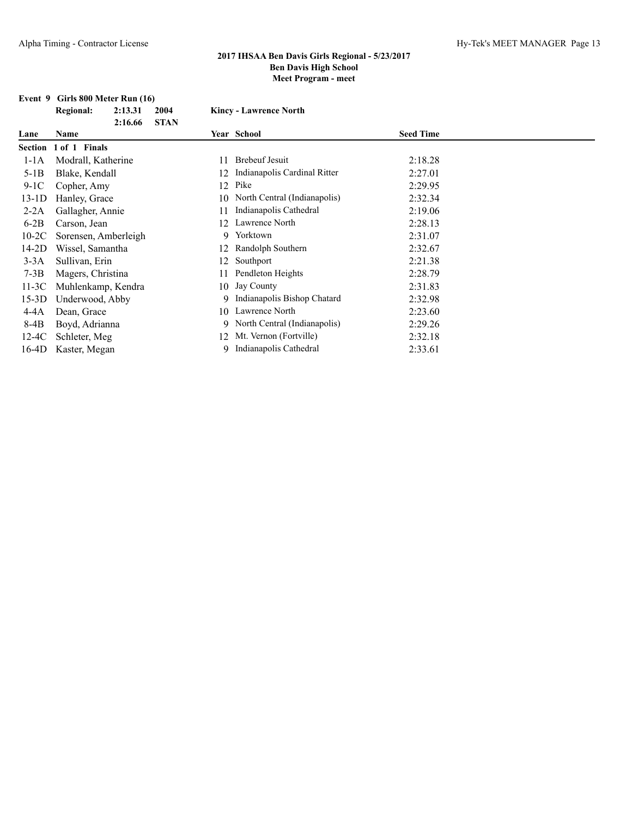#### **Event 9 Girls 800 Meter Run (16) Regional: 2:13.31 2004 Kincy - Lawrence North**

| Lane | Name             |              | <b>Year School</b>     | <b>Seed Time</b> |
|------|------------------|--------------|------------------------|------------------|
|      |                  | 2:16.66 STAN |                        |                  |
|      | <b>Regional:</b> | 2:13.31 2004 | Kincy - Lawrence North |                  |

|         | Section 1 of 1 Finals |     |                                |         |
|---------|-----------------------|-----|--------------------------------|---------|
| $1-1A$  | Modrall, Katherine    | 11  | <b>Brebeuf Jesuit</b>          | 2:18.28 |
| $5-1B$  | Blake, Kendall        | 12  | Indianapolis Cardinal Ritter   | 2:27.01 |
| $9-1C$  | Copher, Amy           | 12  | Pike                           | 2:29.95 |
| $13-1D$ | Hanley, Grace         | 10  | North Central (Indianapolis)   | 2:32.34 |
| $2-2A$  | Gallagher, Annie      | 11  | Indianapolis Cathedral         | 2:19.06 |
| $6-2B$  | Carson, Jean          | 12. | Lawrence North                 | 2:28.13 |
| $10-2C$ | Sorensen, Amberleigh  | 9.  | Yorktown                       | 2:31.07 |
| $14-2D$ | Wissel, Samantha      | 12. | Randolph Southern              | 2:32.67 |
| $3-3A$  | Sullivan, Erin        | 12  | Southport                      | 2:21.38 |
| $7-3B$  | Magers, Christina     | 11  | Pendleton Heights              | 2:28.79 |
| 11-3C   | Muhlenkamp, Kendra    |     | 10 Jay County                  | 2:31.83 |
| $15-3D$ | Underwood, Abby       |     | 9 Indianapolis Bishop Chatard  | 2:32.98 |
| 4-4A    | Dean, Grace           | 10  | Lawrence North                 | 2:23.60 |
| $8-4B$  | Boyd, Adrianna        |     | 9 North Central (Indianapolis) | 2:29.26 |
| 12-4C   | Schleter, Meg         | 12. | Mt. Vernon (Fortville)         | 2:32.18 |
| 16-4D   | Kaster, Megan         |     | Indianapolis Cathedral         | 2:33.61 |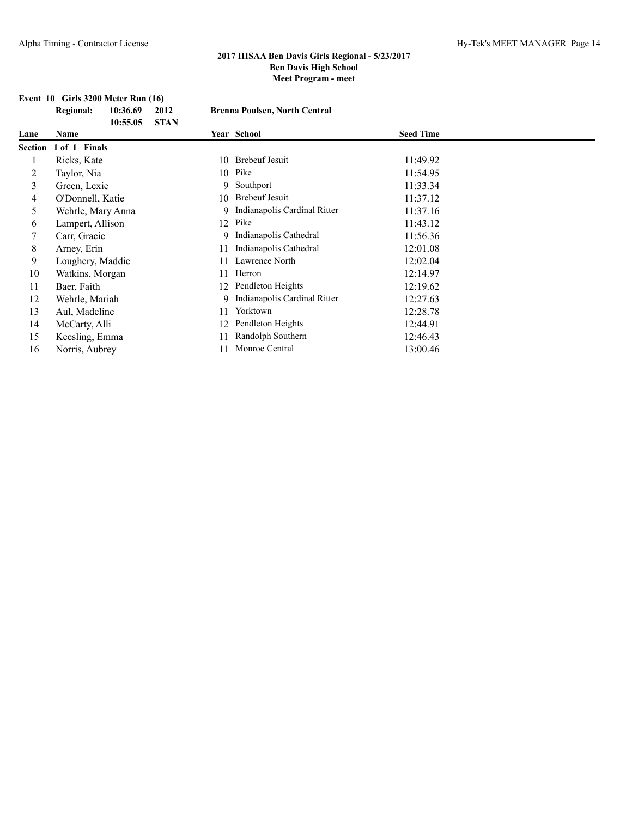# **Event 10 Girls 3200 Meter Run (16)**

| <b>Regional:</b> | 10:36.69 | 2012  |
|------------------|----------|-------|
|                  | 10:55.05 | -STAN |

#### **Regional: 10:36.69 2012 Brenna Poulsen, North Central**

| Lane | Name                  |     | Year School                    | <b>Seed Time</b> |  |
|------|-----------------------|-----|--------------------------------|------------------|--|
|      | Section 1 of 1 Finals |     |                                |                  |  |
|      | Ricks, Kate           |     | 10 Brebeuf Jesuit              | 11:49.92         |  |
|      | Taylor, Nia           | 10  | Pike                           | 11:54.95         |  |
| 3    | Green, Lexie          |     | 9 Southport                    | 11:33.34         |  |
| 4    | O'Donnell, Katie      |     | 10 Brebeuf Jesuit              | 11:37.12         |  |
| 5    | Wehrle, Mary Anna     |     | 9 Indianapolis Cardinal Ritter | 11:37.16         |  |
| 6    | Lampert, Allison      |     | 12 Pike                        | 11:43.12         |  |
|      | Carr, Gracie          |     | 9 Indianapolis Cathedral       | 11:56.36         |  |
| 8    | Arney, Erin           | 11  | Indianapolis Cathedral         | 12:01.08         |  |
| 9    | Loughery, Maddie      | 11  | Lawrence North                 | 12:02.04         |  |
| 10   | Watkins, Morgan       | 11  | Herron                         | 12:14.97         |  |
| 11   | Baer, Faith           | 12. | Pendleton Heights              | 12:19.62         |  |
| 12   | Wehrle, Mariah        | 9   | Indianapolis Cardinal Ritter   | 12:27.63         |  |
| 13   | Aul, Madeline         | 11  | Yorktown                       | 12:28.78         |  |
| 14   | McCarty, Alli         | 12  | Pendleton Heights              | 12:44.91         |  |
| 15   | Keesling, Emma        |     | Randolph Southern              | 12:46.43         |  |
| 16   | Norris, Aubrey        | 11  | Monroe Central                 | 13:00.46         |  |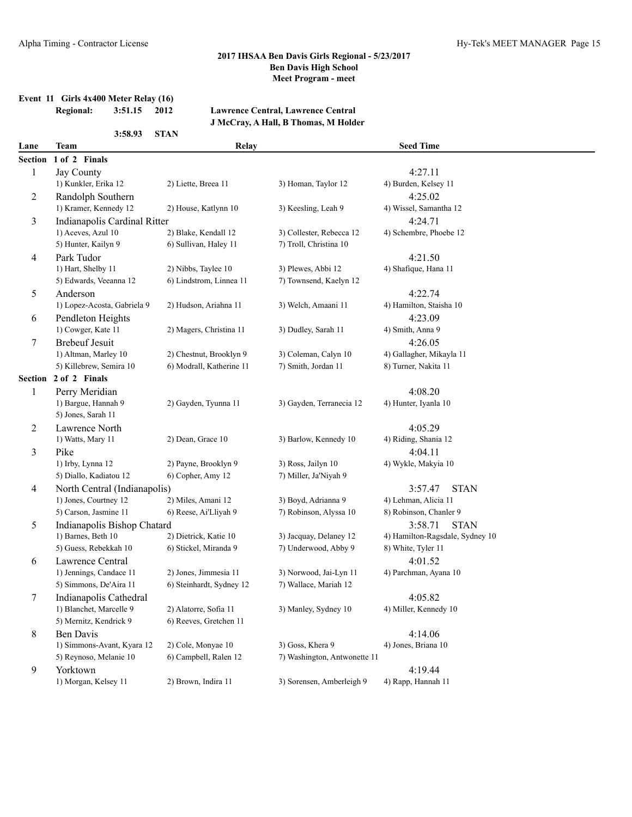# **Event 11 Girls 4x400 Meter Relay (16)**

**3:58.93 STAN**

#### **Regional: 3:51.15 2012 Lawrence Central, Lawrence Central J McCray, A Hall, B Thomas, M Holder**

| Lane    | <b>Team</b>                  | Relay                    |                              | <b>Seed Time</b>                |  |
|---------|------------------------------|--------------------------|------------------------------|---------------------------------|--|
| Section | 1 of 2 Finals                |                          |                              |                                 |  |
| 1       | Jay County                   |                          |                              | 4:27.11                         |  |
|         | 1) Kunkler, Erika 12         | 2) Liette, Breea 11      | 3) Homan, Taylor 12          | 4) Burden, Kelsey 11            |  |
| 2       | Randolph Southern            |                          |                              | 4:25.02                         |  |
|         | 1) Kramer, Kennedy 12        | 2) House, Katlynn 10     | 3) Keesling, Leah 9          | 4) Wissel, Samantha 12          |  |
| 3       | Indianapolis Cardinal Ritter |                          |                              | 4:24.71                         |  |
|         | 1) Aceves, Azul 10           | 2) Blake, Kendall 12     | 3) Collester, Rebecca 12     | 4) Schembre, Phoebe 12          |  |
|         | 5) Hunter, Kailyn 9          | 6) Sullivan, Haley 11    | 7) Troll, Christina 10       |                                 |  |
| 4       | Park Tudor                   |                          |                              | 4:21.50                         |  |
|         | 1) Hart, Shelby 11           | 2) Nibbs, Taylee 10      | 3) Plewes, Abbi 12           | 4) Shafique, Hana 11            |  |
|         | 5) Edwards, Veeanna 12       | 6) Lindstrom, Linnea 11  | 7) Townsend, Kaelyn 12       |                                 |  |
| 5       | Anderson                     |                          |                              | 4:22.74                         |  |
|         | 1) Lopez-Acosta, Gabriela 9  | 2) Hudson, Ariahna 11    | 3) Welch, Amaani 11          | 4) Hamilton, Staisha 10         |  |
| 6       | Pendleton Heights            |                          |                              | 4:23.09                         |  |
|         | 1) Cowger, Kate 11           | 2) Magers, Christina 11  | 3) Dudley, Sarah 11          | 4) Smith, Anna 9                |  |
| 7       | <b>Brebeuf Jesuit</b>        |                          |                              | 4:26.05                         |  |
|         | 1) Altman, Marley 10         | 2) Chestnut, Brooklyn 9  | 3) Coleman, Calyn 10         | 4) Gallagher, Mikayla 11        |  |
|         | 5) Killebrew, Semira 10      | 6) Modrall, Katherine 11 | 7) Smith, Jordan 11          | 8) Turner, Nakita 11            |  |
| Section | 2 of 2 Finals                |                          |                              |                                 |  |
| 1       | Perry Meridian               |                          |                              | 4:08.20                         |  |
|         | 1) Bargue, Hannah 9          | 2) Gayden, Tyunna 11     | 3) Gayden, Terranecia 12     | 4) Hunter, Iyanla 10            |  |
|         | 5) Jones, Sarah 11           |                          |                              |                                 |  |
| 2       | Lawrence North               |                          |                              | 4:05.29                         |  |
|         | 1) Watts, Mary 11            | 2) Dean, Grace 10        | 3) Barlow, Kennedy 10        | 4) Riding, Shania 12            |  |
| 3       | Pike                         |                          |                              | 4:04.11                         |  |
|         | 1) Irby, Lynna 12            | 2) Payne, Brooklyn 9     | 3) Ross, Jailyn 10           | 4) Wykle, Makyia 10             |  |
|         | 5) Diallo, Kadiatou 12       | 6) Copher, Amy 12        | 7) Miller, Ja'Niyah 9        |                                 |  |
| 4       | North Central (Indianapolis) |                          |                              | 3:57.47<br><b>STAN</b>          |  |
|         | 1) Jones, Courtney 12        | 2) Miles, Amani 12       | 3) Boyd, Adrianna 9          | 4) Lehman, Alicia 11            |  |
|         | 5) Carson, Jasmine 11        | 6) Reese, Ai'Lliyah 9    | 7) Robinson, Alyssa 10       | 8) Robinson, Chanler 9          |  |
| 5       | Indianapolis Bishop Chatard  |                          |                              | 3:58.71<br><b>STAN</b>          |  |
|         | 1) Barnes, Beth 10           | 2) Dietrick, Katie 10    | 3) Jacquay, Delaney 12       | 4) Hamilton-Ragsdale, Sydney 10 |  |
|         | 5) Guess, Rebekkah 10        | 6) Stickel, Miranda 9    | 7) Underwood, Abby 9         | 8) White, Tyler 11              |  |
| 6       | Lawrence Central             |                          |                              | 4:01.52                         |  |
|         | 1) Jennings, Candace 11      | 2) Jones, Jimmesia 11    | 3) Norwood, Jai-Lyn 11       | 4) Parchman, Ayana 10           |  |
|         | 5) Simmons, De'Aira 11       | 6) Steinhardt, Sydney 12 | 7) Wallace, Mariah 12        |                                 |  |
| 7       | Indianapolis Cathedral       |                          |                              | 4:05.82                         |  |
|         | 1) Blanchet, Marcelle 9      | 2) Alatorre, Sofia 11    | 3) Manley, Sydney 10         | 4) Miller, Kennedy 10           |  |
|         | 5) Mernitz, Kendrick 9       | 6) Reeves, Gretchen 11   |                              |                                 |  |
| 8       | Ben Davis                    |                          |                              | 4:14.06                         |  |
|         | 1) Simmons-Avant, Kyara 12   | 2) Cole, Monyae 10       | 3) Goss, Khera 9             | 4) Jones, Briana 10             |  |
|         | 5) Reynoso, Melanie 10       | 6) Campbell, Ralen 12    | 7) Washington, Antwonette 11 |                                 |  |
| 9       | Yorktown                     |                          |                              | 4:19.44                         |  |
|         | 1) Morgan, Kelsey 11         | 2) Brown, Indira 11      | 3) Sorensen, Amberleigh 9    | 4) Rapp, Hannah 11              |  |